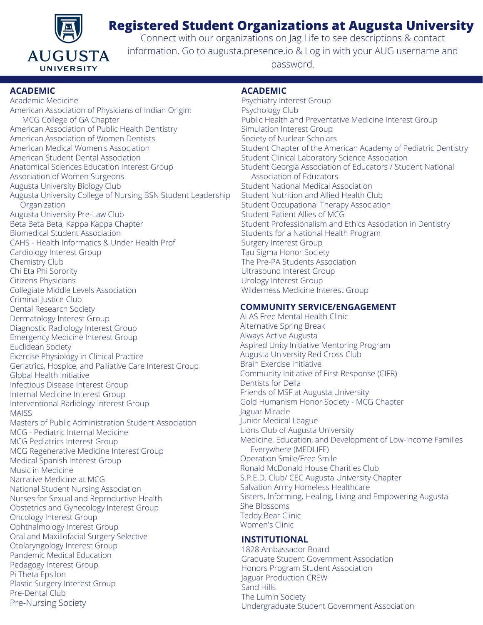

# **Registered Student Organizations at Augusta University**

Connect with our organizations on Jag Life to see descriptions & contact information. Go to augusta.presence.io & Log in with your AUG username and password.

### **ACADEMIC**

Academic Medicine American Association of Physicians of Indian Origin: MCG College of GA Chapter American Association of Public Health Dentistry American Association of Women Dentists American Medical Women's Association American Student Dental Association Anatomical Sciences Education Interest Group Association of Women Surgeons Augusta University Biology Club Augusta University College of Nursing BSN Student Leadership **Organization** Augusta University Pre-Law Club Beta Beta Beta, Kappa Kappa Chapter Biomedical Student Association CAHS - Health Informatics & Under Health Prof Cardiology Interest Group Chemistry Club Chi Eta Phi Sorority Citizens Physicians Collegiate Middle Levels Association Criminal Justice Club Dental Research Society Dermatology Interest Group Diagnostic Radiology Interest Group Emergency Medicine Interest Group Euclidean Society Exercise Physiology in Clinical Practice Geriatrics, Hospice, and Palliative Care Interest Group Global Health Initiative Infectious Disease Interest Group Internal Medicine Interest Group Interventional Radiology Interest Group **MAISS** Masters of Public Administration Student Association MCG - Pediatric Internal Medicine MCG Pediatrics Interest Group MCG Regenerative Medicine Interest Group Medical Spanish Interest Group Music in Medicine Narrative Medicine at MCG National Student Nursing Association Nurses for Sexual and Reproductive Health Obstetrics and Gynecology Interest Group Oncology Interest Group Ophthalmology Interest Group Oral and Maxillofacial Surgery Selective Otolaryngology Interest Group Pandemic Medical Education Pedagogy Interest Group Pi Theta Epsilon Plastic Surgery Interest Group Pre-Dental Club Pre-Nursing Society

## **ACADEMIC**

Psychiatry Interest Group Psychology Club Public Health and Preventative Medicine Interest Group Simulation Interest Group Society of Nuclear Scholars Student Chapter of the American Academy of Pediatric Dentistry Student Clinical Laboratory Science Association Student Georgia Association of Educators / Student National Association of Educators Student National Medical Association Student Nutrition and Allied Health Club Student Occupational Therapy Association Student Patient Allies of MCG Student Professionalism and Ethics Association in Dentistry Students for a National Health Program Surgery Interest Group Tau Sigma Honor Society The Pre-PA Students Association Ultrasound Interest Group Urology Interest Group Wilderness Medicine Interest Group

## **COMMUNITY SERVICE/ENGAGEMENT**

ALAS Free Mental Health Clinic Alternative Spring Break Always Active Augusta Aspired Unity Initiative Mentoring Program Augusta University Red Cross Club Brain Exercise Initiative Community Initiative of First Response (CIFR) Dentists for Della Friends of MSF at Augusta University Gold Humanism Honor Society - MCG Chapter Jaguar Miracle Junior Medical League Lions Club of Augusta University Medicine, Education, and Development of Low-Income Families Everywhere (MEDLIFE) Operation Smile/Free Smile Ronald McDonald House Charities Club S.P.E.D. Club/ CEC Augusta University Chapter Salvation Army Homeless Healthcare Sisters, Informing, Healing, Living and Empowering Augusta She Blossoms Teddy Bear Clinic Women's Clinic

## **INSTITUTIONAL**

1828 Ambassador Board Graduate Student Government Association Honors Program Student Association Jaguar Production CREW Sand Hills The Lumin Society Undergraduate Student Government Association